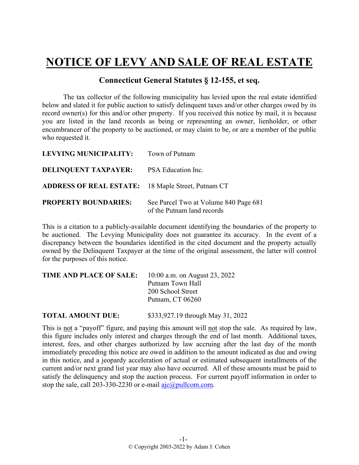## **NOTICE OF LEVY AND SALE OF REAL ESTATE**

## **Connecticut General Statutes § 12-155, et seq.**

The tax collector of the following municipality has levied upon the real estate identified below and slated it for public auction to satisfy delinquent taxes and/or other charges owed by its record owner(s) for this and/or other property. If you received this notice by mail, it is because you are listed in the land records as being or representing an owner, lienholder, or other encumbrancer of the property to be auctioned, or may claim to be, or are a member of the public who requested it.

| LEVYING MUNICIPALITY: Town of Putnam                      |                                                                     |
|-----------------------------------------------------------|---------------------------------------------------------------------|
| <b>DELINQUENT TAXPAYER:</b>                               | PSA Education Inc.                                                  |
| <b>ADDRESS OF REAL ESTATE:</b> 18 Maple Street, Putnam CT |                                                                     |
| <b>PROPERTY BOUNDARIES:</b>                               | See Parcel Two at Volume 840 Page 681<br>of the Putnam land records |

This is a citation to a publicly-available document identifying the boundaries of the property to be auctioned. The Levying Municipality does not guarantee its accuracy. In the event of a discrepancy between the boundaries identified in the cited document and the property actually owned by the Delinquent Taxpayer at the time of the original assessment, the latter will control for the purposes of this notice.

| <b>TIME AND PLACE OF SALE:</b> | 10:00 a.m. on August 23, 2022 |  |
|--------------------------------|-------------------------------|--|
|                                | Putnam Town Hall              |  |
|                                | 200 School Street             |  |
|                                | Putnam, CT 06260              |  |
|                                |                               |  |

**TOTAL AMOUNT DUE:** \$333,927.19 through May 31, 2022

This is not a "payoff" figure, and paying this amount will not stop the sale. As required by law, this figure includes only interest and charges through the end of last month. Additional taxes, interest, fees, and other charges authorized by law accruing after the last day of the month immediately preceding this notice are owed in addition to the amount indicated as due and owing in this notice, and a jeopardy acceleration of actual or estimated subsequent installments of the current and/or next grand list year may also have occurred. All of these amounts must be paid to satisfy the delinquency and stop the auction process. For current payoff information in order to stop the sale, call 203-330-2230 or e-mail  $a$ jc $(a)$ pullcom.com.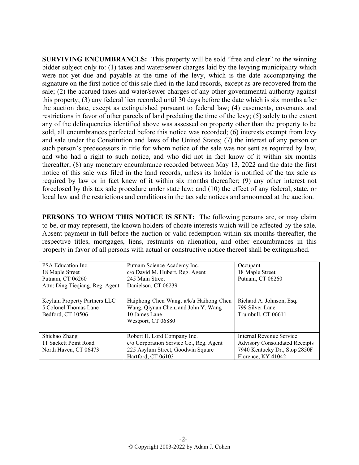**SURVIVING ENCUMBRANCES:** This property will be sold "free and clear" to the winning bidder subject only to: (1) taxes and water/sewer charges laid by the levying municipality which were not yet due and payable at the time of the levy, which is the date accompanying the signature on the first notice of this sale filed in the land records, except as are recovered from the sale; (2) the accrued taxes and water/sewer charges of any other governmental authority against this property; (3) any federal lien recorded until 30 days before the date which is six months after the auction date, except as extinguished pursuant to federal law; (4) easements, covenants and restrictions in favor of other parcels of land predating the time of the levy; (5) solely to the extent any of the delinquencies identified above was assessed on property other than the property to be sold, all encumbrances perfected before this notice was recorded; (6) interests exempt from levy and sale under the Constitution and laws of the United States; (7) the interest of any person or such person's predecessors in title for whom notice of the sale was not sent as required by law, and who had a right to such notice, and who did not in fact know of it within six months thereafter; (8) any monetary encumbrance recorded between May 13, 2022 and the date the first notice of this sale was filed in the land records, unless its holder is notified of the tax sale as required by law or in fact knew of it within six months thereafter; (9) any other interest not foreclosed by this tax sale procedure under state law; and (10) the effect of any federal, state, or local law and the restrictions and conditions in the tax sale notices and announced at the auction.

**PERSONS TO WHOM THIS NOTICE IS SENT:** The following persons are, or may claim to be, or may represent, the known holders of choate interests which will be affected by the sale. Absent payment in full before the auction or valid redemption within six months thereafter, the respective titles, mortgages, liens, restraints on alienation, and other encumbrances in this property in favor of all persons with actual or constructive notice thereof shall be extinguished.

| PSA Education Inc.<br>18 Maple Street<br>Putnam, CT 06260<br>Attn: Ding Tieqiang, Reg. Agent | Putnam Science Academy Inc.<br>c/o David M. Hubert, Reg. Agent<br>245 Main Street<br>Danielson, CT 06239                          | Occupant<br>18 Maple Street<br>Putnam, CT 06260                                                                          |
|----------------------------------------------------------------------------------------------|-----------------------------------------------------------------------------------------------------------------------------------|--------------------------------------------------------------------------------------------------------------------------|
|                                                                                              |                                                                                                                                   |                                                                                                                          |
| Keylain Property Partners LLC<br>5 Colonel Thomas Lane<br>Bedford, CT 10506                  | Haiphong Chen Wang, a/k/a Haihong Chen<br>Wang, Qiyuan Chen, and John Y. Wang<br>10 James Lane<br>Westport, CT 06880              | Richard A. Johnson, Esq.<br>799 Silver Lane<br>Trumbull, CT 06611                                                        |
| Shichao Zhang<br>11 Sackett Point Road<br>North Haven, CT 06473                              | Robert H. Lord Company Inc.<br>c/o Corporation Service Co., Reg. Agent<br>225 Asylum Street, Goodwin Square<br>Hartford, CT 06103 | Internal Revenue Service<br><b>Advisory Consolidated Receipts</b><br>7940 Kentucky Dr., Stop 2850F<br>Florence, KY 41042 |